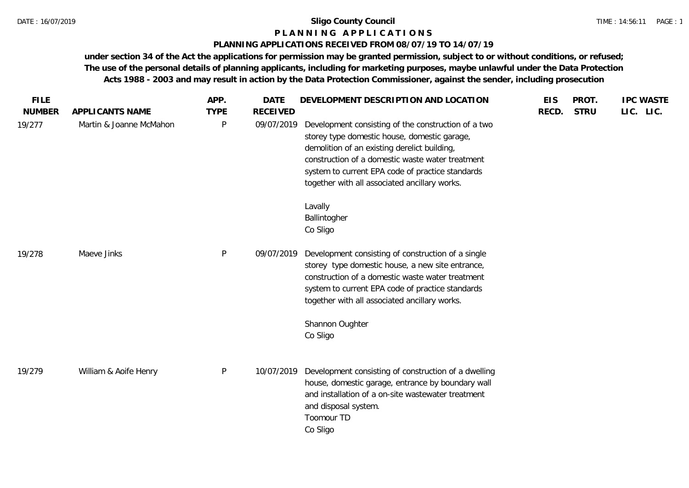# **P L A N N I N G A P P L I C A T I O N S**

## **PLANNING APPLICATIONS RECEIVED FROM 08/07/19 TO 14/07/19**

**under section 34 of the Act the applications for permission may be granted permission, subject to or without conditions, or refused; The use of the personal details of planning applicants, including for marketing purposes, maybe unlawful under the Data Protection Acts 1988 - 2003 and may result in action by the Data Protection Commissioner, against the sender, including prosecution**

| <b>FILE</b><br><b>NUMBER</b> | APPLICANTS NAME         | APP.<br><b>TYPE</b> | <b>DATE</b><br><b>RECEIVED</b> | DEVELOPMENT DESCRIPTION AND LOCATION                                                                                                                                                                                                                                                                         | <b>EIS</b><br>RECD. | PROT.<br><b>STRU</b> | <b>IPC WASTE</b><br>LIC. LIC. |  |
|------------------------------|-------------------------|---------------------|--------------------------------|--------------------------------------------------------------------------------------------------------------------------------------------------------------------------------------------------------------------------------------------------------------------------------------------------------------|---------------------|----------------------|-------------------------------|--|
| 19/277                       | Martin & Joanne McMahon | P                   | 09/07/2019                     | Development consisting of the construction of a two<br>storey type domestic house, domestic garage,<br>demolition of an existing derelict building,<br>construction of a domestic waste water treatment<br>system to current EPA code of practice standards<br>together with all associated ancillary works. |                     |                      |                               |  |
|                              |                         |                     |                                | Lavally<br>Ballintogher<br>Co Sligo                                                                                                                                                                                                                                                                          |                     |                      |                               |  |
| 19/278                       | Maeve Jinks             | P                   | 09/07/2019                     | Development consisting of construction of a single<br>storey type domestic house, a new site entrance,<br>construction of a domestic waste water treatment<br>system to current EPA code of practice standards<br>together with all associated ancillary works.                                              |                     |                      |                               |  |
|                              |                         |                     |                                | Shannon Oughter<br>Co Sligo                                                                                                                                                                                                                                                                                  |                     |                      |                               |  |
| 19/279                       | William & Aoife Henry   | $\mathsf{P}$        | 10/07/2019                     | Development consisting of construction of a dwelling<br>house, domestic garage, entrance by boundary wall<br>and installation of a on-site wastewater treatment<br>and disposal system.<br>Toomour TD<br>Co Sligo                                                                                            |                     |                      |                               |  |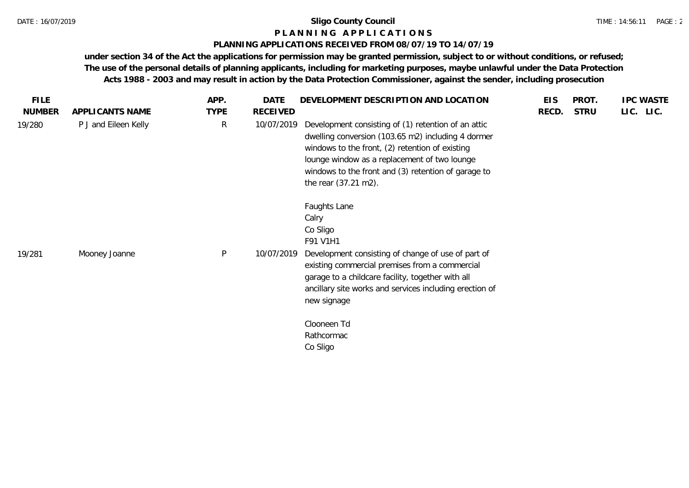# **P L A N N I N G A P P L I C A T I O N S**

## **PLANNING APPLICATIONS RECEIVED FROM 08/07/19 TO 14/07/19**

**under section 34 of the Act the applications for permission may be granted permission, subject to or without conditions, or refused; The use of the personal details of planning applicants, including for marketing purposes, maybe unlawful under the Data Protection Acts 1988 - 2003 and may result in action by the Data Protection Commissioner, against the sender, including prosecution**

| <b>FILE</b>   |                      | APP.         | DATE       | DEVELOPMENT DESCRIPTION AND LOCATION                                                                                                                                                                                                                                                                | <b>EIS</b> | PROT.       | <b>IPC WASTE</b> |
|---------------|----------------------|--------------|------------|-----------------------------------------------------------------------------------------------------------------------------------------------------------------------------------------------------------------------------------------------------------------------------------------------------|------------|-------------|------------------|
| <b>NUMBER</b> | APPLICANTS NAME      | <b>TYPE</b>  | RECEIVED   |                                                                                                                                                                                                                                                                                                     | RECD.      | <b>STRU</b> | LIC. LIC.        |
| 19/280        | P J and Eileen Kelly | $\mathsf{R}$ | 10/07/2019 | Development consisting of (1) retention of an attic<br>dwelling conversion (103.65 m2) including 4 dormer<br>windows to the front, (2) retention of existing<br>lounge window as a replacement of two lounge<br>windows to the front and (3) retention of garage to<br>the rear (37.21 m2).         |            |             |                  |
| 19/281        | Mooney Joanne        | ${\sf P}$    | 10/07/2019 | Faughts Lane<br>Calry<br>Co Sligo<br>F91 V1H1<br>Development consisting of change of use of part of<br>existing commercial premises from a commercial<br>garage to a childcare facility, together with all<br>ancillary site works and services including erection of<br>new signage<br>Clooneen Td |            |             |                  |
|               |                      |              |            | Rathcormac<br>Co Sligo                                                                                                                                                                                                                                                                              |            |             |                  |
|               |                      |              |            |                                                                                                                                                                                                                                                                                                     |            |             |                  |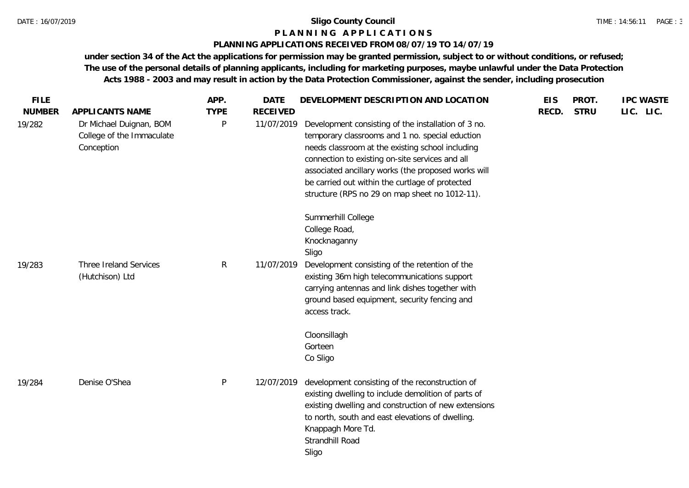#### **P L A N N I N G A P P L I C A T I O N S**

## **PLANNING APPLICATIONS RECEIVED FROM 08/07/19 TO 14/07/19**

**under section 34 of the Act the applications for permission may be granted permission, subject to or without conditions, or refused; The use of the personal details of planning applicants, including for marketing purposes, maybe unlawful under the Data Protection Acts 1988 - 2003 and may result in action by the Data Protection Commissioner, against the sender, including prosecution**

| <b>FILE</b><br><b>NUMBER</b> | APPLICANTS NAME                                                    | APP.<br><b>TYPE</b> | <b>DATE</b><br><b>RECEIVED</b> | DEVELOPMENT DESCRIPTION AND LOCATION                                                                                                                                                                                                                                                                                                                                      | <b>EIS</b><br>RECD. | PROT.<br><b>STRU</b> | <b>IPC WASTE</b><br>LIC. LIC. |
|------------------------------|--------------------------------------------------------------------|---------------------|--------------------------------|---------------------------------------------------------------------------------------------------------------------------------------------------------------------------------------------------------------------------------------------------------------------------------------------------------------------------------------------------------------------------|---------------------|----------------------|-------------------------------|
| 19/282                       | Dr Michael Duignan, BOM<br>College of the Immaculate<br>Conception | P                   | 11/07/2019                     | Development consisting of the installation of 3 no.<br>temporary classrooms and 1 no. special eduction<br>needs classroom at the existing school including<br>connection to existing on-site services and all<br>associated ancillary works (the proposed works will<br>be carried out within the curtlage of protected<br>structure (RPS no 29 on map sheet no 1012-11). |                     |                      |                               |
|                              |                                                                    |                     |                                | Summerhill College<br>College Road,<br>Knocknaganny<br>Sligo                                                                                                                                                                                                                                                                                                              |                     |                      |                               |
| 19/283                       | Three Ireland Services<br>(Hutchison) Ltd                          | R                   | 11/07/2019                     | Development consisting of the retention of the<br>existing 36m high telecommunications support<br>carrying antennas and link dishes together with<br>ground based equipment, security fencing and<br>access track.                                                                                                                                                        |                     |                      |                               |
|                              |                                                                    |                     |                                | Cloonsillagh<br>Gorteen<br>Co Sligo                                                                                                                                                                                                                                                                                                                                       |                     |                      |                               |
| 19/284                       | Denise O'Shea                                                      | P                   | 12/07/2019                     | development consisting of the reconstruction of<br>existing dwelling to include demolition of parts of<br>existing dwelling and construction of new extensions<br>to north, south and east elevations of dwelling.<br>Knappagh More Td.<br>Strandhill Road<br>Sligo                                                                                                       |                     |                      |                               |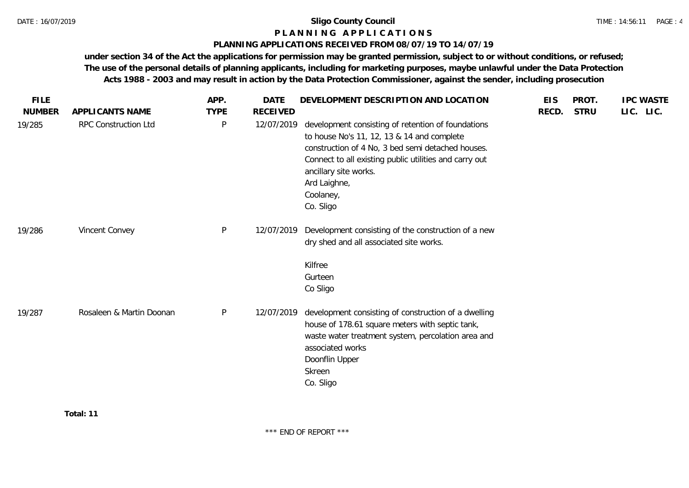# **P L A N N I N G A P P L I C A T I O N S**

## **PLANNING APPLICATIONS RECEIVED FROM 08/07/19 TO 14/07/19**

**under section 34 of the Act the applications for permission may be granted permission, subject to or without conditions, or refused; The use of the personal details of planning applicants, including for marketing purposes, maybe unlawful under the Data Protection Acts 1988 - 2003 and may result in action by the Data Protection Commissioner, against the sender, including prosecution**

| <b>FILE</b>   |                          | APP.         | <b>DATE</b>     | DEVELOPMENT DESCRIPTION AND LOCATION                                                                                                                                                                                                                                               | <b>EIS</b> | PROT.       | <b>IPC WASTE</b> |
|---------------|--------------------------|--------------|-----------------|------------------------------------------------------------------------------------------------------------------------------------------------------------------------------------------------------------------------------------------------------------------------------------|------------|-------------|------------------|
| <b>NUMBER</b> | APPLICANTS NAME          | <b>TYPE</b>  | <b>RECEIVED</b> |                                                                                                                                                                                                                                                                                    | RECD.      | <b>STRU</b> | LIC. LIC.        |
| 19/285        | RPC Construction Ltd     | $\mathsf{P}$ | 12/07/2019      | development consisting of retention of foundations<br>to house No's 11, 12, 13 & 14 and complete<br>construction of 4 No, 3 bed semi detached houses.<br>Connect to all existing public utilities and carry out<br>ancillary site works.<br>Ard Laighne,<br>Coolaney,<br>Co. Sligo |            |             |                  |
| 19/286        | Vincent Convey           | $\mathsf{P}$ | 12/07/2019      | Development consisting of the construction of a new<br>dry shed and all associated site works.<br>Kilfree<br>Gurteen                                                                                                                                                               |            |             |                  |
| 19/287        | Rosaleen & Martin Doonan | P            | 12/07/2019      | Co Sligo<br>development consisting of construction of a dwelling<br>house of 178.61 square meters with septic tank,<br>waste water treatment system, percolation area and<br>associated works<br>Doonflin Upper<br>Skreen<br>Co. Sligo                                             |            |             |                  |

**Total: 11**

\*\*\* END OF REPORT \*\*\*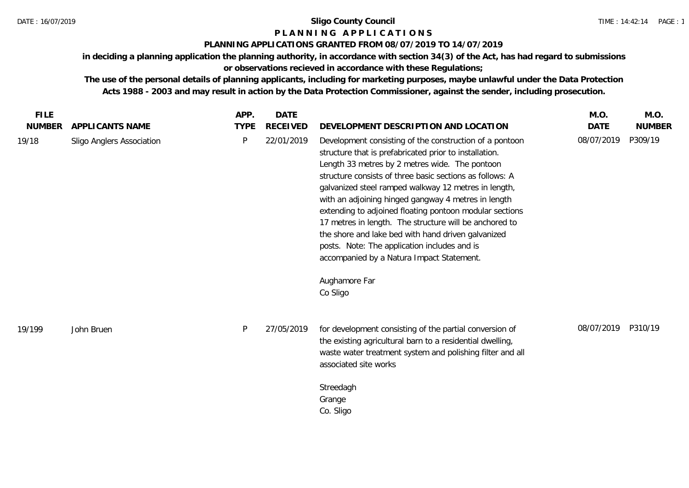# **P L A N N I N G A P P L I C A T I O N S**

# **PLANNING APPLICATIONS GRANTED FROM 08/07/2019 TO 14/07/2019**

**in deciding a planning application the planning authority, in accordance with section 34(3) of the Act, has had regard to submissions or observations recieved in accordance with these Regulations;**

**The use of the personal details of planning applicants, including for marketing purposes, maybe unlawful under the Data Protection Acts 1988 - 2003 and may result in action by the Data Protection Commissioner, against the sender, including prosecution.**

| <b>FILE</b>   |                           | APP.        | <b>DATE</b>     |                                                                                                                                                                                                                                                                                                                                                                                                                                                                                                                                                                                                                                         | M.O.        | M.O.          |
|---------------|---------------------------|-------------|-----------------|-----------------------------------------------------------------------------------------------------------------------------------------------------------------------------------------------------------------------------------------------------------------------------------------------------------------------------------------------------------------------------------------------------------------------------------------------------------------------------------------------------------------------------------------------------------------------------------------------------------------------------------------|-------------|---------------|
| <b>NUMBER</b> | APPLICANTS NAME           | <b>TYPE</b> | <b>RECEIVED</b> | DEVELOPMENT DESCRIPTION AND LOCATION                                                                                                                                                                                                                                                                                                                                                                                                                                                                                                                                                                                                    | <b>DATE</b> | <b>NUMBER</b> |
| 19/18         | Sligo Anglers Association | P           | 22/01/2019      | Development consisting of the construction of a pontoon<br>structure that is prefabricated prior to installation.<br>Length 33 metres by 2 metres wide. The pontoon<br>structure consists of three basic sections as follows: A<br>galvanized steel ramped walkway 12 metres in length,<br>with an adjoining hinged gangway 4 metres in length<br>extending to adjoined floating pontoon modular sections<br>17 metres in length. The structure will be anchored to<br>the shore and lake bed with hand driven galvanized<br>posts. Note: The application includes and is<br>accompanied by a Natura Impact Statement.<br>Aughamore Far | 08/07/2019  | P309/19       |
|               |                           |             |                 | Co Sligo                                                                                                                                                                                                                                                                                                                                                                                                                                                                                                                                                                                                                                |             |               |
| 19/199        | John Bruen                | P           | 27/05/2019      | for development consisting of the partial conversion of<br>the existing agricultural barn to a residential dwelling,<br>waste water treatment system and polishing filter and all<br>associated site works                                                                                                                                                                                                                                                                                                                                                                                                                              | 08/07/2019  | P310/19       |
|               |                           |             |                 | Streedagh<br>Grange<br>Co. Sligo                                                                                                                                                                                                                                                                                                                                                                                                                                                                                                                                                                                                        |             |               |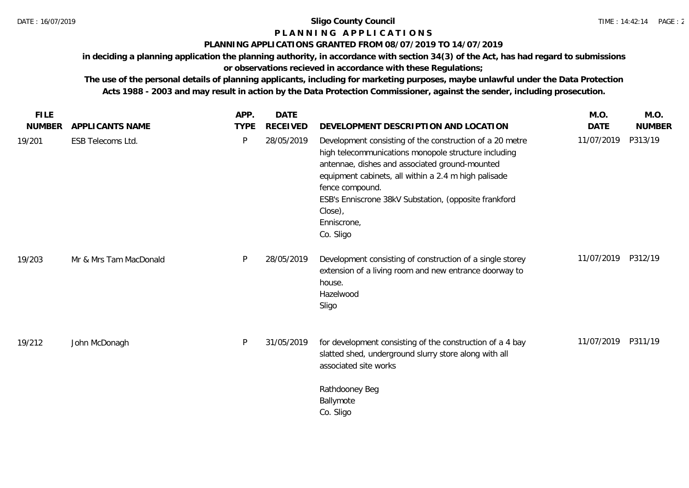# **P L A N N I N G A P P L I C A T I O N S**

# **PLANNING APPLICATIONS GRANTED FROM 08/07/2019 TO 14/07/2019**

**in deciding a planning application the planning authority, in accordance with section 34(3) of the Act, has had regard to submissions** 

**or observations recieved in accordance with these Regulations;**

**The use of the personal details of planning applicants, including for marketing purposes, maybe unlawful under the Data Protection Acts 1988 - 2003 and may result in action by the Data Protection Commissioner, against the sender, including prosecution.**

| <b>FILE</b>   |                        | APP.        | <b>DATE</b>     |                                                                                                                                                                                                                                                                                                                                               | M.O.        | M.O.          |
|---------------|------------------------|-------------|-----------------|-----------------------------------------------------------------------------------------------------------------------------------------------------------------------------------------------------------------------------------------------------------------------------------------------------------------------------------------------|-------------|---------------|
| <b>NUMBER</b> | APPLICANTS NAME        | <b>TYPE</b> | <b>RECEIVED</b> | DEVELOPMENT DESCRIPTION AND LOCATION                                                                                                                                                                                                                                                                                                          | <b>DATE</b> | <b>NUMBER</b> |
| 19/201        | ESB Telecoms Ltd.      | P           | 28/05/2019      | Development consisting of the construction of a 20 metre<br>high telecommunications monopole structure including<br>antennae, dishes and associated ground-mounted<br>equipment cabinets, all within a 2.4 m high palisade<br>fence compound.<br>ESB's Enniscrone 38kV Substation, (opposite frankford<br>Close),<br>Enniscrone,<br>Co. Sligo | 11/07/2019  | P313/19       |
| 19/203        | Mr & Mrs Tam MacDonald | P           | 28/05/2019      | Development consisting of construction of a single storey<br>extension of a living room and new entrance doorway to<br>house.<br>Hazelwood<br>Sligo                                                                                                                                                                                           | 11/07/2019  | P312/19       |
| 19/212        | John McDonagh          | P           | 31/05/2019      | for development consisting of the construction of a 4 bay<br>slatted shed, underground slurry store along with all<br>associated site works                                                                                                                                                                                                   | 11/07/2019  | P311/19       |
|               |                        |             |                 | Rathdooney Beg<br>Ballymote<br>Co. Sligo                                                                                                                                                                                                                                                                                                      |             |               |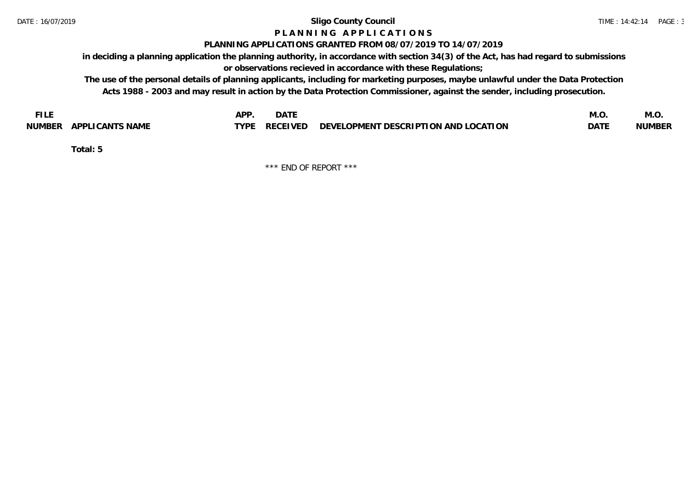# **P L A N N I N G A P P L I C A T I O N S**

## **PLANNING APPLICATIONS GRANTED FROM 08/07/2019 TO 14/07/2019**

**in deciding a planning application the planning authority, in accordance with section 34(3) of the Act, has had regard to submissions or observations recieved in accordance with these Regulations;**

**The use of the personal details of planning applicants, including for marketing purposes, maybe unlawful under the Data Protection Acts 1988 - 2003 and may result in action by the Data Protection Commissioner, against the sender, including prosecution.**

| <b>FILE</b>               | <b>APF</b><br><b>DATE</b>                                             | M.O         | IVI.U         |
|---------------------------|-----------------------------------------------------------------------|-------------|---------------|
| APPLICANTS NAME<br>NUMBER | $\angle$ RECEIVED DEVELOPMENT DESCRIPTION AND LOCATION<br><b>TYPE</b> | <b>DATE</b> | <b>NUMBER</b> |

**Total: 5**

\*\*\* END OF REPORT \*\*\*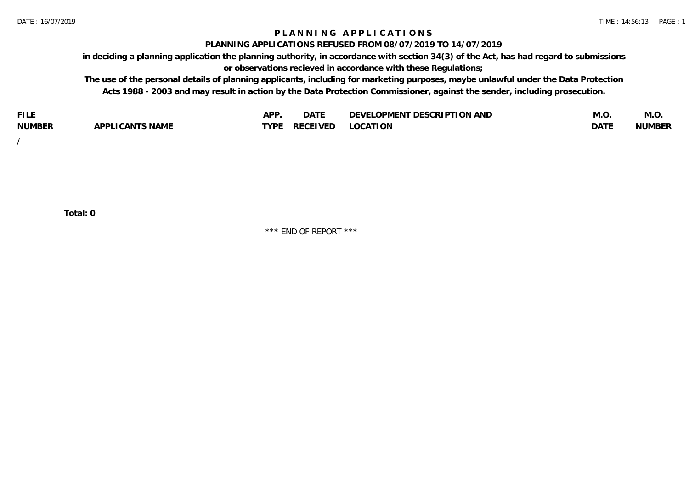# **P L A N N I N G A P P L I C A T I O N S**

#### **PLANNING APPLICATIONS REFUSED FROM 08/07/2019 TO 14/07/2019**

**in deciding a planning application the planning authority, in accordance with section 34(3) of the Act, has had regard to submissions or observations recieved in accordance with these Regulations;**

**The use of the personal details of planning applicants, including for marketing purposes, maybe unlawful under the Data Protection Acts 1988 - 2003 and may result in action by the Data Protection Commissioner, against the sender, including prosecution.**

| <b>FILE</b>   |                                                     | A DE | $\sim$ $\sim$ $\sim$<br>DA I | <b>ENT DESCRIPTION AND</b><br>$\cap$ nn.<br>)E\/F<br>. JIEN L<br>பட | IVI.U       | IVI.U         |
|---------------|-----------------------------------------------------|------|------------------------------|---------------------------------------------------------------------|-------------|---------------|
| <b>NUMBER</b> | <b>ANTS NAME</b><br>A DDI<br>$\sqrt{2}$<br>CAN<br>u | TVDL | ◡⊢                           | <b>OCATION</b>                                                      | <b>DATF</b> | <b>NUMBER</b> |

/

**Total: 0**

\*\*\* END OF REPORT \*\*\*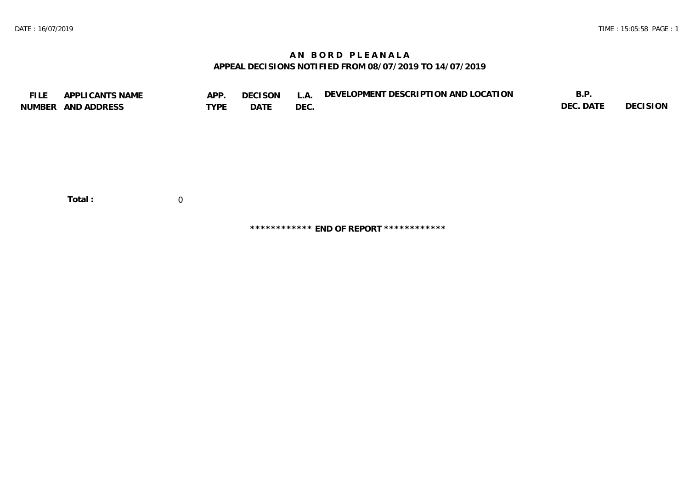# **A N B O R D P L E A N A L A APPEAL DECISIONS NOTIFIED FROM 08/07/2019 TO 14/07/2019**

| <b>FILE</b> | APPLICANTS NAME    | APP.           | <b>DECISON</b> | L.A. | DEVELOPMENT DESCRIPTION AND LOCATION | B.P.      |          |
|-------------|--------------------|----------------|----------------|------|--------------------------------------|-----------|----------|
|             | NUMBER AND ADDRESS | <b>TYPE</b>    | DATE           | DEC. |                                      | DEC. DATE | DECISION |
|             |                    |                |                |      |                                      |           |          |
|             |                    |                |                |      |                                      |           |          |
|             |                    |                |                |      |                                      |           |          |
|             |                    |                |                |      |                                      |           |          |
|             |                    |                |                |      |                                      |           |          |
|             |                    |                |                |      |                                      |           |          |
|             |                    |                |                |      |                                      |           |          |
|             |                    |                |                |      |                                      |           |          |
|             | Total:             | $\overline{0}$ |                |      |                                      |           |          |

**\*\*\*\*\*\*\*\*\*\*\*\* END OF REPORT \*\*\*\*\*\*\*\*\*\*\*\***